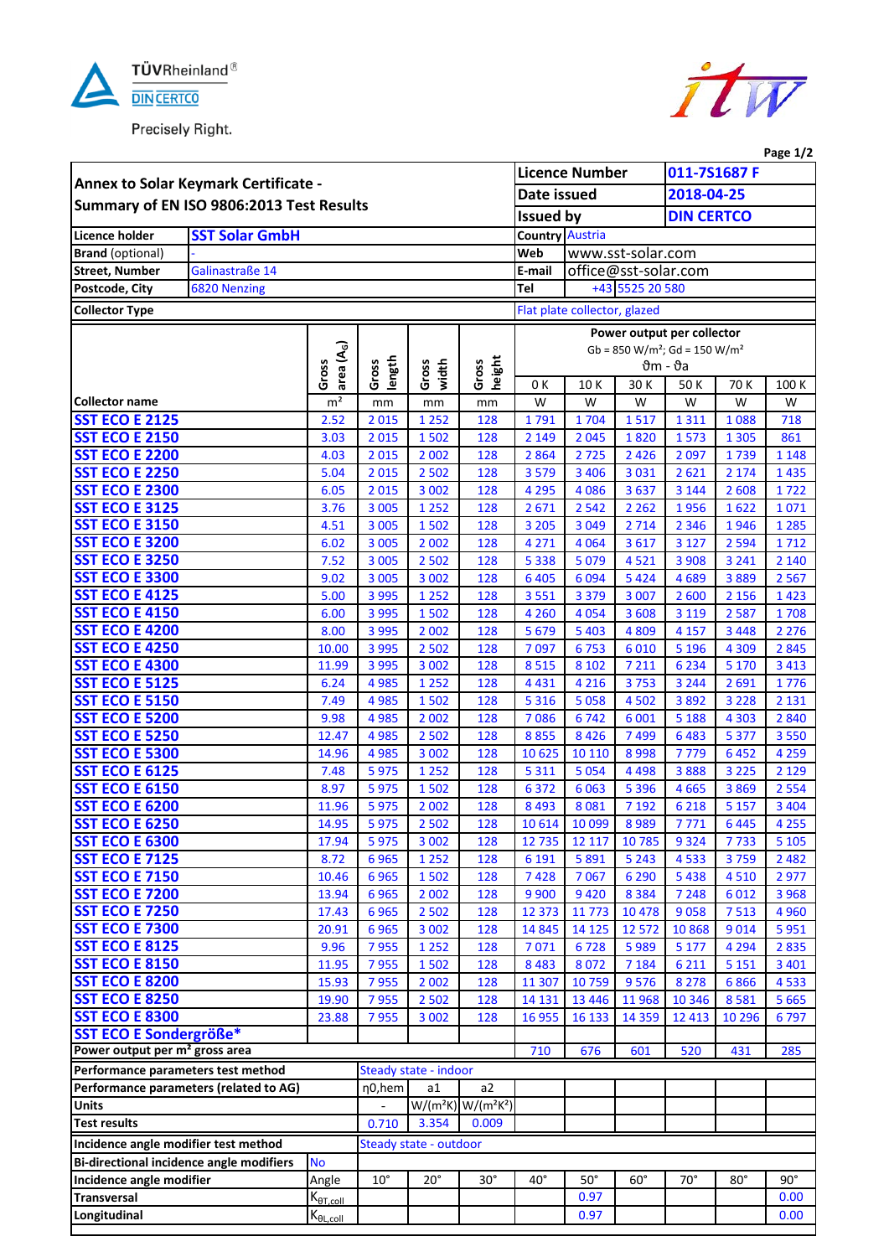

Precisely Right.



|                                                                              |                 |                                             |                      |                             |                                               |                                                                |                              |                 |                            |                 | Page 1/2           |
|------------------------------------------------------------------------------|-----------------|---------------------------------------------|----------------------|-----------------------------|-----------------------------------------------|----------------------------------------------------------------|------------------------------|-----------------|----------------------------|-----------------|--------------------|
|                                                                              |                 |                                             |                      |                             | <b>Licence Number</b>                         |                                                                | 011-7S1687 F                 |                 |                            |                 |                    |
| Annex to Solar Keymark Certificate -                                         |                 |                                             |                      | Date issued                 |                                               |                                                                | 2018-04-25                   |                 |                            |                 |                    |
| Summary of EN ISO 9806:2013 Test Results                                     |                 |                                             |                      |                             |                                               | <b>Issued by</b>                                               |                              |                 | <b>DIN CERTCO</b>          |                 |                    |
| Licence holder<br><b>SST Solar GmbH</b>                                      |                 |                                             |                      |                             | <b>Country Austria</b>                        |                                                                |                              |                 |                            |                 |                    |
| <b>Brand</b> (optional)                                                      |                 |                                             |                      |                             |                                               | www.sst-solar.com<br>Web                                       |                              |                 |                            |                 |                    |
| <b>Street, Number</b>                                                        | Galinastraße 14 |                                             |                      |                             |                                               | E-mail                                                         | office@sst-solar.com         |                 |                            |                 |                    |
| Postcode, City                                                               | 6820 Nenzing    |                                             |                      |                             |                                               | Tel                                                            |                              | +43 5525 20 580 |                            |                 |                    |
| <b>Collector Type</b>                                                        |                 |                                             |                      |                             |                                               |                                                                |                              |                 |                            |                 |                    |
|                                                                              |                 |                                             |                      |                             |                                               |                                                                | Flat plate collector, glazed |                 |                            |                 |                    |
|                                                                              |                 |                                             |                      | Gross<br>width              | height<br>Gross                               |                                                                |                              |                 | Power output per collector |                 |                    |
|                                                                              |                 | area (A <sub>G</sub> )                      |                      |                             |                                               | $Gb = 850 W/m^2$ ; $Gd = 150 W/m^2$<br>$\theta$ m - $\theta$ a |                              |                 |                            |                 |                    |
|                                                                              |                 | Gross                                       | length<br>Gross      |                             |                                               | 0K<br>30 K<br>10K<br>50 K<br>70 K                              |                              |                 |                            |                 |                    |
| <b>Collector name</b>                                                        |                 | m <sup>2</sup>                              | mm                   | mm                          |                                               | W                                                              | W                            | W               | W                          | W               | 100 K<br>W         |
| <b>SST ECO E 2125</b>                                                        |                 | 2.52                                        | 2015                 | 1 2 5 2                     | mm<br>128                                     | 1791                                                           | 1704                         | 1517            | 1311                       | 1088            | 718                |
| <b>SST ECO E 2150</b>                                                        |                 | 3.03                                        | 2015                 | 1502                        | 128                                           | 2 1 4 9                                                        | 2 0 4 5                      | 1820            | 1573                       | 1 3 0 5         | 861                |
| <b>SST ECO E 2200</b>                                                        |                 | 4.03                                        | 2015                 | 2 0 0 2                     | 128                                           | 2864                                                           | 2725                         | 2 4 2 6         | 2097                       | 1739            | 1 1 4 8            |
| <b>SST ECO E 2250</b>                                                        |                 | 5.04                                        | 2015                 | 2 5 0 2                     | 128                                           | 3579                                                           | 3 4 0 6                      | 3 0 3 1         | 2621                       | 2 1 7 4         | 1435               |
| <b>SST ECO E 2300</b>                                                        |                 | 6.05                                        | 2015                 | 3 0 0 2                     | 128                                           | 4 2 9 5                                                        | 4 0 8 6                      | 3637            | 3 1 4 4                    | 2608            | 1722               |
| <b>SST ECO E 3125</b>                                                        |                 | 3.76                                        | 3 0 0 5              | 1 2 5 2                     | 128                                           | 2671                                                           | 2 5 4 2                      | 2 2 6 2         | 1956                       | 1622            | 1071               |
| <b>SST ECO E 3150</b>                                                        |                 | 4.51                                        | 3 0 0 5              | 1502                        | 128                                           | 3 2 0 5                                                        | 3 0 4 9                      | 2 7 1 4         | 2 3 4 6                    | 1946            | 1 2 8 5            |
| <b>SST ECO E 3200</b>                                                        |                 | 6.02                                        | 3 0 0 5              | 2 0 0 2                     | 128                                           | 4 2 7 1                                                        | 4 0 6 4                      | 3 6 1 7         | 3 1 2 7                    | 2 5 9 4         | 1712               |
| <b>SST ECO E 3250</b>                                                        |                 | 7.52                                        | 3 0 0 5              | 2 5 0 2                     | 128                                           | 5 3 3 8                                                        | 5 0 7 9                      | 4521            | 3 9 0 8                    | 3 2 4 1         | 2 1 4 0            |
| <b>SST ECO E 3300</b>                                                        |                 | 9.02                                        | 3 0 0 5              | 3 0 0 2                     | 128                                           | 6 4 0 5                                                        | 6 0 9 4                      | 5 4 2 4         | 4689                       | 3889            | 2 5 6 7            |
| <b>SST ECO E 4125</b>                                                        |                 | 5.00                                        | 3 9 9 5              | 1 2 5 2                     | 128                                           | 3551                                                           | 3 3 7 9                      | 3 0 0 7         | 2600                       | 2 1 5 6         | 1423               |
| <b>SST ECO E 4150</b>                                                        |                 | 6.00                                        | 3 9 9 5              | 1502                        | 128                                           | 4 2 6 0                                                        | 4 0 5 4                      | 3 608           | 3 1 1 9                    | 2587            | 1708               |
| <b>SST ECO E 4200</b>                                                        |                 | 8.00                                        | 3 9 9 5              | 2 0 0 2                     | 128                                           | 5 6 7 9                                                        | 5 4 0 3                      | 4 8 0 9         | 4 1 5 7                    | 3 4 4 8         | 2 2 7 6            |
| <b>SST ECO E 4250</b>                                                        |                 | 10.00                                       | 3 9 9 5              | 2 5 0 2                     | 128                                           | 7097                                                           | 6753                         | 6010            | 5 1 9 6                    | 4 3 0 9         | 2845               |
| <b>SST ECO E 4300</b>                                                        |                 | 11.99                                       | 3 9 9 5              | 3 0 0 2                     | 128                                           | 8515                                                           | 8 1 0 2                      | 7 2 1 1         | 6 2 3 4                    | 5 1 7 0         | 3 4 1 3            |
| <b>SST ECO E 5125</b>                                                        |                 | 6.24                                        | 4985                 | 1 2 5 2                     | 128                                           | 4 4 3 1                                                        | 4 2 1 6                      | 3753            | 3 2 4 4                    | 2691            | 1776               |
| <b>SST ECO E 5150</b>                                                        |                 | 7.49                                        | 4985                 | 1502                        | 128                                           | 5 3 1 6                                                        | 5 0 5 8                      | 4 5 0 2         | 3892                       | 3 2 2 8         | 2 1 3 1            |
| <b>SST ECO E 5200</b><br><b>SST ECO E 5250</b>                               |                 | 9.98<br>12.47                               | 4 9 8 5              | 2 0 0 2                     | 128                                           | 7086                                                           | 6742<br>8 4 2 6              | 6 0 0 1         | 5 1 8 8<br>6483            | 4 3 0 3         | 2840               |
| <b>SST ECO E 5300</b>                                                        |                 | 14.96                                       | 4 9 8 5<br>4 9 8 5   | 2 5 0 2<br>3 0 0 2          | 128<br>128                                    | 8855<br>10 625                                                 | 10 110                       | 7499<br>8998    | 7779                       | 5 3 7 7<br>6452 | 3 5 5 0<br>4 2 5 9 |
| <b>SST ECO E 6125</b>                                                        |                 | 7.48                                        | 5975                 | 1 2 5 2                     | 128                                           | 5 3 1 1                                                        | 5 0 5 4                      | 4 4 9 8         | 3888                       | 3 2 2 5         | 2 1 2 9            |
| <b>SST ECO E 6150</b>                                                        |                 | 8.97                                        | 5975                 | 1502                        | 128                                           | 6372                                                           | 6 0 63                       | 5 3 9 6         | 4665                       | 3869            | 2 5 5 4            |
| <b>SST ECO E 6200</b>                                                        |                 | 11.96                                       | 5975                 | 2 0 0 2                     | 128                                           | 8 4 9 3                                                        | 8081                         | 7 1 9 2         | 6 2 1 8                    | 5 1 5 7         | 3 4 0 4            |
| <b>SST ECO E 6250</b>                                                        |                 | 14.95                                       | 5975                 | 2 5 0 2                     | 128                                           | 10 6 14                                                        | 10 099                       | 8989            | 7771                       | 6445            | 4 2 5 5            |
| <b>SST ECO E 6300</b>                                                        |                 | 17.94                                       | 5975                 | 3 0 0 2                     | 128                                           | 12 7 35                                                        | 12 117                       | 10785           | 9324                       | 7733            | 5 1 0 5            |
| <b>SST ECO E 7125</b>                                                        |                 | 8.72                                        | 6965                 | 1 2 5 2                     | 128                                           | 6 1 9 1                                                        | 5891                         | 5 2 4 3         | 4533                       | 3759            | 2 4 8 2            |
| <b>SST ECO E 7150</b>                                                        |                 | 10.46                                       | 6965                 | 1502                        | 128                                           | 7428                                                           | 7067                         | 6 2 9 0         | 5438                       | 4510            | 2977               |
| <b>SST ECO E 7200</b>                                                        |                 | 13.94                                       | 6965                 | 2 0 0 2                     | 128                                           | 9 9 0 0                                                        | 9 4 2 0                      | 8 3 8 4         | 7 2 4 8                    | 6012            | 3 9 6 8            |
| <b>SST ECO E 7250</b>                                                        |                 | 17.43                                       | 6965                 | 2 5 0 2                     | 128                                           | 12 373                                                         | 11 773                       | 10 4 78         | 9058                       | 7513            | 4 9 6 0            |
| <b>SST ECO E 7300</b>                                                        |                 | 20.91                                       | 6965                 | 3 0 0 2                     | 128                                           | 14 8 45                                                        | 14 125                       | 12 572          | 10868                      | 9014            | 5951               |
| <b>SST ECO E 8125</b>                                                        |                 | 9.96                                        | 7955                 | 1 2 5 2                     | 128                                           | 7071                                                           | 6728                         | 5989            | 5 1 7 7                    | 4 2 9 4         | 2835               |
| <b>SST ECO E 8150</b>                                                        |                 | 11.95                                       | 7955                 | 1502                        | 128                                           | 8 4 8 3                                                        | 8 0 7 2                      | 7 1 8 4         | 6 2 1 1                    | 5 1 5 1         | 3 4 0 1            |
| <b>SST ECO E 8200</b>                                                        |                 | 15.93                                       | 7955                 | 2 0 0 2                     | 128                                           | 11 307                                                         | 10759                        | 9576            | 8278                       | 6866            | 4533               |
| <b>SST ECO E 8250</b>                                                        |                 | 19.90                                       | 7955                 | 2 5 0 2                     | 128                                           | 14 13 1                                                        | 13 4 46                      | 11968           | 10 3 46                    | 8581            | 5 6 6 5            |
| <b>SST ECO E 8300</b>                                                        |                 | 23.88                                       | 7955                 | 3 0 0 2                     | 128                                           | 16 9 55                                                        | 16 133                       | 14 3 5 9        | 12 4 13                    | 10 29 6         | 6797               |
| SST ECO E Sondergröße*<br>Power output per m <sup>2</sup> gross area         |                 |                                             |                      |                             |                                               | 710                                                            | 676                          | 601             | 520                        | 431             | 285                |
|                                                                              |                 |                                             |                      |                             |                                               |                                                                |                              |                 |                            |                 |                    |
| Performance parameters test method<br>Performance parameters (related to AG) |                 |                                             | n <sub>0</sub> , hem | Steady state - indoor<br>a1 | a2                                            |                                                                |                              |                 |                            |                 |                    |
| <b>Units</b>                                                                 |                 |                                             |                      |                             | $W/(m^2K)$ W/(m <sup>2</sup> K <sup>2</sup> ) |                                                                |                              |                 |                            |                 |                    |
| <b>Test results</b>                                                          |                 |                                             | 0.710                | 3.354                       | 0.009                                         |                                                                |                              |                 |                            |                 |                    |
| Incidence angle modifier test method                                         |                 |                                             |                      | Steady state - outdoor      |                                               |                                                                |                              |                 |                            |                 |                    |
| <b>Bi-directional incidence angle modifiers</b>                              |                 | <b>No</b>                                   |                      |                             |                                               |                                                                |                              |                 |                            |                 |                    |
| Incidence angle modifier                                                     |                 | Angle                                       | $10^{\circ}$         | $20^{\circ}$                | $30^\circ$                                    | $40^{\circ}$                                                   | $50^\circ$                   | $60^\circ$      | $70^{\circ}$               | $80^\circ$      | $90^\circ$         |
| <b>Transversal</b>                                                           |                 | $K_{\underline{\theta T, \text{coll}}}$     |                      |                             |                                               |                                                                | 0.97                         |                 |                            |                 | 0.00               |
| Longitudinal                                                                 |                 | $\mathsf{K}_{\theta\mathsf{L},\text{coll}}$ |                      |                             |                                               |                                                                | 0.97                         |                 |                            |                 | 0.00               |
|                                                                              |                 |                                             |                      |                             |                                               |                                                                |                              |                 |                            |                 |                    |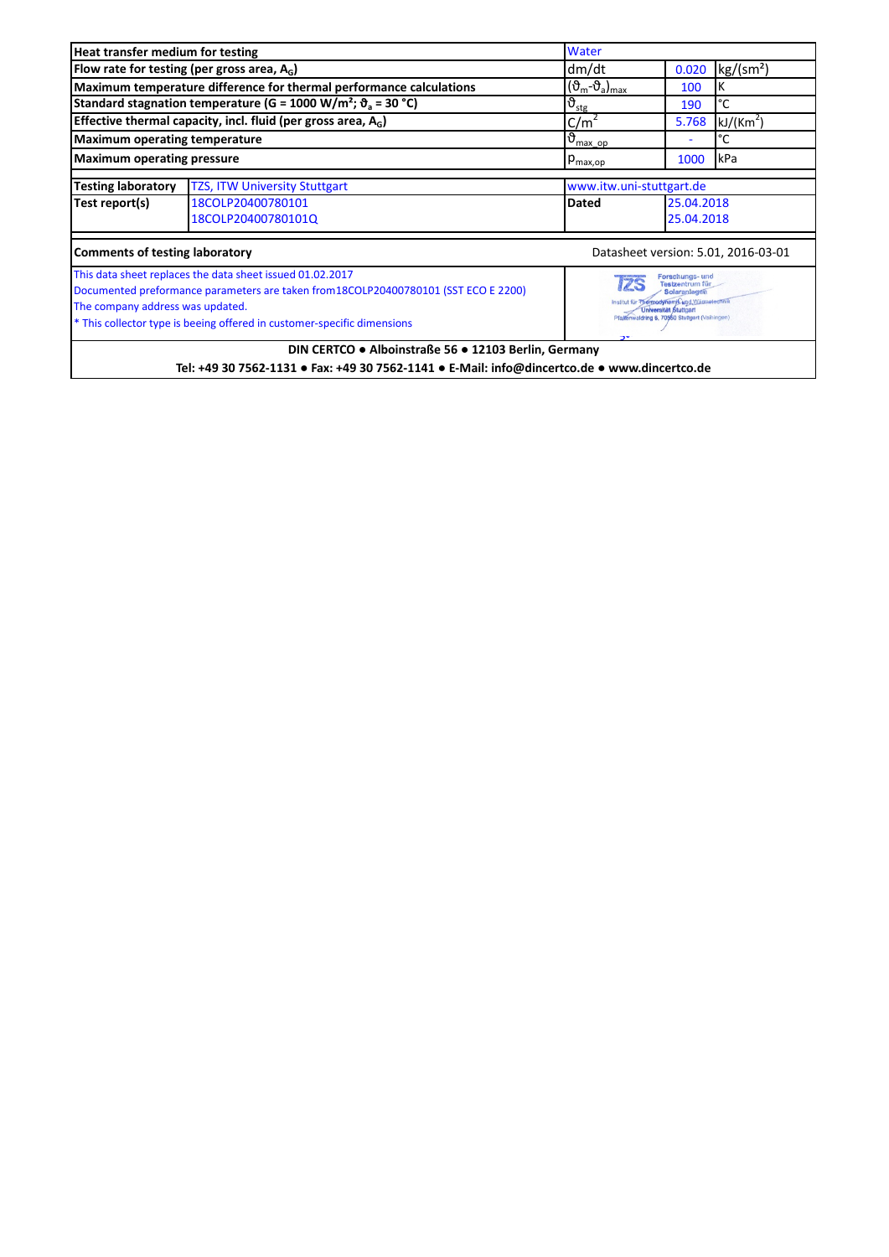| Heat transfer medium for testing                                                                                                                                                                                                                                |                                                                                                                                                                                                       | Water                                                            |            |                                     |  |
|-----------------------------------------------------------------------------------------------------------------------------------------------------------------------------------------------------------------------------------------------------------------|-------------------------------------------------------------------------------------------------------------------------------------------------------------------------------------------------------|------------------------------------------------------------------|------------|-------------------------------------|--|
|                                                                                                                                                                                                                                                                 | Flow rate for testing (per gross area, $A_c$ )                                                                                                                                                        | dm/dt                                                            | 0.020      | kg/(sm <sup>2</sup> )               |  |
|                                                                                                                                                                                                                                                                 | Maximum temperature difference for thermal performance calculations                                                                                                                                   | $(\vartheta_m - \vartheta_a)_{max}$                              | 100        | Κ                                   |  |
|                                                                                                                                                                                                                                                                 | Standard stagnation temperature (G = 1000 W/m <sup>2</sup> ; $\vartheta$ <sub>a</sub> = 30 °C)                                                                                                        | $\vartheta_{\text{stg}}$                                         | 190        | °C                                  |  |
| Effective thermal capacity, incl. fluid (per gross area, $A_G$ )<br>C/m <sup>2</sup><br>5.768<br>kJ/(Km <sup>2</sup> )                                                                                                                                          |                                                                                                                                                                                                       |                                                                  |            |                                     |  |
| <b>Maximum operating temperature</b>                                                                                                                                                                                                                            |                                                                                                                                                                                                       | $\mathfrak{b}_{\frac{\text{max} \ \text{op}}{\text{max}}}$<br>°C |            |                                     |  |
| <b>Maximum operating pressure</b>                                                                                                                                                                                                                               |                                                                                                                                                                                                       | $p_{\text{max,op}}$                                              | 1000       | kPa                                 |  |
| <b>Testing laboratory</b>                                                                                                                                                                                                                                       | <b>TZS, ITW University Stuttgart</b>                                                                                                                                                                  | www.itw.uni-stuttgart.de                                         |            |                                     |  |
| Test report(s)                                                                                                                                                                                                                                                  | 18COLP20400780101                                                                                                                                                                                     | <b>Dated</b>                                                     | 25.04.2018 |                                     |  |
|                                                                                                                                                                                                                                                                 | 18COLP20400780101Q                                                                                                                                                                                    |                                                                  | 25.04.2018 |                                     |  |
| <b>Comments of testing laboratory</b>                                                                                                                                                                                                                           |                                                                                                                                                                                                       |                                                                  |            | Datasheet version: 5.01, 2016-03-01 |  |
| This data sheet replaces the data sheet issued 01.02.2017<br>Documented preformance parameters are taken from 18COLP20400780101 (SST ECO E 2200)<br>The company address was updated.<br>* This collector type is beeing offered in customer-specific dimensions | Forschungs- und<br><b>Testzentrum für</b><br><b>Solaranlagen</b><br>Institut für Thermodynamik und Wärmetechn<br><b>Universität Stuttgart</b><br>Plattenwaldring 6, 70550 Stuttgart (Vaihingen)<br>っぃ |                                                                  |            |                                     |  |
|                                                                                                                                                                                                                                                                 | DIN CERTCO . Alboinstraße 56 . 12103 Berlin, Germany<br>Tel: +49 30 7562-1131 • Fax: +49 30 7562-1141 • E-Mail: info@dincertco.de • www.dincertco.de                                                  |                                                                  |            |                                     |  |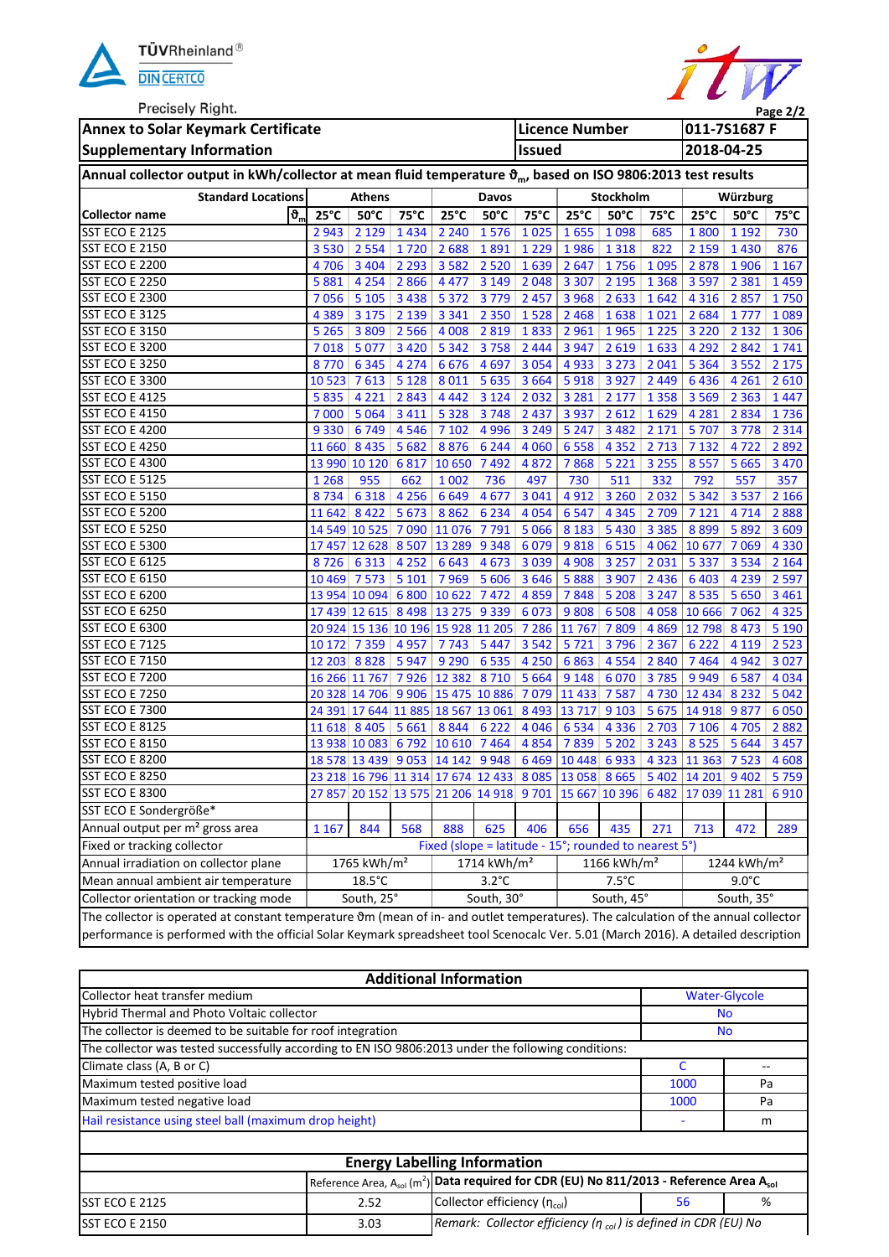

**Precisely Right** 

and the state of the state of the state of the state of the state of the state of the



| <b>FIGUSELY MIGHT.</b><br>Page 2/2                                                                                                  |                         |                                             |                |                                                                                  |                |                 |                                                      |                    |                         |                                                                                  |                |                    |
|-------------------------------------------------------------------------------------------------------------------------------------|-------------------------|---------------------------------------------|----------------|----------------------------------------------------------------------------------|----------------|-----------------|------------------------------------------------------|--------------------|-------------------------|----------------------------------------------------------------------------------|----------------|--------------------|
| <b>Annex to Solar Keymark Certificate</b>                                                                                           |                         |                                             |                | <b>Licence Number</b>                                                            |                |                 | 011-7S1687 F                                         |                    |                         |                                                                                  |                |                    |
| <b>Supplementary Information</b><br><b>Issued</b>                                                                                   |                         |                                             |                |                                                                                  |                |                 | 2018-04-25                                           |                    |                         |                                                                                  |                |                    |
| Annual collector output in kWh/collector at mean fluid temperature $\vartheta_m$ , based on ISO 9806:2013 test results              |                         |                                             |                |                                                                                  |                |                 |                                                      |                    |                         |                                                                                  |                |                    |
| <b>Standard Locations</b>                                                                                                           | <b>Athens</b>           |                                             |                | Davos                                                                            |                | Stockholm       |                                                      | Würzburg           |                         |                                                                                  |                |                    |
| $\boldsymbol{\vartheta}_{m}$<br><b>Collector name</b>                                                                               | $25^{\circ}$ C          | $50^{\circ}$ C                              | $75^{\circ}$ C | $25^{\circ}$ C                                                                   | $50^{\circ}$ C | 75°C            | $25^{\circ}C$                                        | $50^{\circ}$ C     | 75°C                    | $25^{\circ}$ C                                                                   | $50^{\circ}$ C | $75^{\circ}$ C     |
| <b>SST ECO E 2125</b>                                                                                                               | 2943                    | 2 1 2 9                                     | 1434           | 2 2 4 0                                                                          | 1576           | 1025            | 1655                                                 | 1 0 9 8            | 685                     | 1800                                                                             | 1 1 9 2        | 730                |
| <b>SST ECO E 2150</b>                                                                                                               | 3530                    | 2 5 5 4                                     | 1720           | 2688                                                                             | 1891           | 1 2 2 9         | 1986                                                 | 1 3 1 8            | 822                     | 2 1 5 9                                                                          | 1430           | 876                |
| <b>SST ECO E 2200</b>                                                                                                               | 4706                    | 3 4 0 4                                     | 2 2 9 3        | 3 5 8 2                                                                          | 2 5 2 0        | 1639            | 2647                                                 | 1756               | 1 0 9 5                 | 2878                                                                             | 1906           | 1 1 6 7            |
| <b>SST ECO E 2250</b>                                                                                                               | 5881                    | 4 2 5 4                                     | 2866           | 4 4 7 7                                                                          | 3 1 4 9        | 2048            | 3 3 0 7                                              | 2 1 9 5            | 1 3 6 8                 | 3 5 9 7                                                                          | 2 3 8 1        | 1459               |
| <b>SST ECO E 2300</b>                                                                                                               | 7056                    | 5105                                        | 3438           | 5 3 7 2                                                                          | 3779           | $2457$          | 3 9 6 8                                              | 2633               | 1642                    | 4 3 1 6                                                                          | 2857           | 1750               |
| SST ECO E 3125                                                                                                                      | 4 3 8 9                 | 3 1 7 5                                     | 2 1 3 9        | 3 3 4 1                                                                          |                | 2 3 5 0 1 5 2 8 | 2 4 6 8                                              | 1638               | 1021                    | 2684                                                                             | 1777           | 1089               |
| <b>SST ECO E 3150</b>                                                                                                               | 5 2 6 5                 | 3 8 0 9                                     | 2 5 6 6        | 4 0 0 8                                                                          | 2 8 1 9        | 1833            | 2961                                                 | 1965               | $1225$                  | 3 2 2 0                                                                          | 2 1 3 2        | 1 3 0 6            |
| SST ECO E 3200                                                                                                                      |                         | 7018 5077                                   | 3 4 2 0        | 5 3 4 2                                                                          | 3758           | 2 4 4 4         | 3 9 4 7                                              | 2619               | 1633                    | 4 2 9 2                                                                          | 2842           | 1741               |
| <b>SST ECO E 3250</b>                                                                                                               | 8770                    | 6 3 4 5                                     | 4 2 7 4        | 6676                                                                             | 4697           | 3 0 5 4         | 4933                                                 | 3 2 7 3            | 2 0 4 1                 | 5 3 6 4                                                                          | 3552           | 2 1 7 5            |
| SST ECO E 3300                                                                                                                      | 10 523                  | 7613                                        | 5 1 2 8        | 8 0 1 1                                                                          | 5 6 3 5        | 3 6 6 4         | 5918                                                 | 3 9 2 7            | 2 4 4 9                 | 6436                                                                             | 4 2 6 1        | 2610               |
| <b>SST ECO E 4125</b>                                                                                                               | 5835                    | 4 2 2 1                                     | 2843           | 4 4 4 2                                                                          | 3 1 2 4        | 2032            | 3 2 8 1                                              | 2 1 7 7            | 1358                    | 3 5 6 9                                                                          | 2 3 6 3        | 1447               |
| <b>SST ECO E 4150</b>                                                                                                               | 7000                    | 5 0 6 4                                     | 3 4 1 1        | 5 3 2 8                                                                          | 3748           | 2 4 3 7         | 3 9 3 7                                              | 2612               | 1629                    | 4 2 8 1                                                                          | 2834           | 1736               |
| <b>SST ECO E 4200</b>                                                                                                               | 9 3 3 0                 | 6749                                        | 4546           | 7 1 0 2                                                                          | 4 9 9 6        | 3 2 4 9         | 5 2 4 7                                              | 3 4 8 2            | 2 1 7 1                 | 5707                                                                             | 3778           | 2 3 1 4            |
| <b>SST ECO E 4250</b>                                                                                                               | 11 660 8 435            |                                             | 5682           | 8876                                                                             | 6 2 4 4        | 4 0 6 0         | 6 5 5 8                                              | 4 3 5 2            | 2 7 1 3                 | 7 1 3 2                                                                          | 4722           | 2892               |
| <b>SST ECO E 4300</b>                                                                                                               |                         | 13 990 10 120                               | 6817           | 10 650 7 492                                                                     |                | 4872            | 7868                                                 | 5 2 2 1            | 3 2 5 5                 | 8557                                                                             | 5 6 6 5        | 3 4 7 0            |
| SST ECO E 5125                                                                                                                      | 1 2 6 8                 | 955                                         | 662            | 1 0 0 2                                                                          | 736            | 497             | 730                                                  | 511                | 332                     | 792                                                                              | 557            | 357                |
| SST ECO E 5150                                                                                                                      | 8734                    | 6318                                        | 4 2 5 6        | 6 6 4 9                                                                          | 4677           | 3 0 4 1         | 4912                                                 | 3 2 6 0            | 2032                    | 5 3 4 2                                                                          | 3537           | 2 1 6 6            |
| SST ECO E 5200                                                                                                                      | 11 642 8 422            |                                             | 5 6 7 3        | 8862                                                                             | 6 2 3 4        | 4054            | 6 5 4 7                                              | 4 3 4 5            | 2 7 0 9                 | 7 1 2 1                                                                          | 4714           | 2888               |
| <b>SST ECO E 5250</b><br><b>SST ECO E 5300</b>                                                                                      |                         | 14 549 10 525 7 090 11 076 7 791            |                |                                                                                  |                | 5 0 6 6         | 8 1 8 3                                              | 5 4 3 0            | 3 3 8 5                 | 8899                                                                             | 5892           | 3 6 0 9            |
| <b>SST ECO E 6125</b>                                                                                                               | 8726                    | 17 457 12 628 8 507 13 289 9 348<br>6 3 1 3 | 4 2 5 2        |                                                                                  | 4 6 7 3        | 6079<br>3039    | 9818                                                 | 6515               | 4062                    | 10 677<br>5 3 3 7                                                                | 7069<br>3534   | 4 3 3 0            |
| <b>SST ECO E 6150</b>                                                                                                               | 10 469 7 573            |                                             | 5 1 0 1        | 6 6 4 3                                                                          | 7969 5606      | 3646            | 4 9 0 8<br>5888                                      | 3 2 5 7<br>3 9 0 7 | 2 0 3 1<br>2 4 3 6      | 6 4 0 3                                                                          | 4 2 3 9        | 2 1 6 4<br>2 5 9 7 |
| <b>SST ECO E 6200</b>                                                                                                               |                         | 13 954 10 094 6 800 10 622 7 472            |                |                                                                                  |                | 4859            | 7848                                                 | 5 2 0 8            | 3 2 4 7                 | 8535                                                                             | 5 6 5 0        | 3 4 6 1            |
| <b>SST ECO E 6250</b>                                                                                                               |                         | 17 439 12 615 8 498 13 275 9 339 6 073      |                |                                                                                  |                |                 | 9808                                                 | 6 5 0 8            | 4058                    | 10 6 66                                                                          | 7062           | 4 3 2 5            |
| SST ECO E 6300                                                                                                                      |                         | 20 924 15 136 10 196 15 928 11 205          |                |                                                                                  |                | 7 2 8 6         | 11 767                                               | 7809               | 4 8 6 9                 | 12 798 8 473                                                                     |                | 5 1 9 0            |
| <b>SST ECO E 7125</b>                                                                                                               | 10 172 7 359            |                                             | 4957           | 7743                                                                             | 5 4 4 7        | 3542            | 5721                                                 | 3796               | 2 3 6 7                 | 6 2 2 2                                                                          | 4 1 1 9        | 2 5 2 3            |
| <b>SST ECO E 7150</b>                                                                                                               |                         | 12 203 8 8 28                               | 5947           | 9 2 9 0                                                                          | 6535           | 4 2 5 0         | 6863                                                 | 4554               | 2840                    | 7464                                                                             | 4942           | 3 0 2 7            |
| <b>SST ECO E 7200</b>                                                                                                               |                         | 16 266 11 767 7 926 12 382 8 710            |                |                                                                                  |                | 5 6 6 4         | 9 1 4 8                                              | 6070               | 3785                    | 9949                                                                             | 6587           | 4034               |
| <b>SST ECO E 7250</b>                                                                                                               |                         |                                             |                |                                                                                  |                |                 | 20 328 14 706 9 906 15 475 10 886 7 079 11 433 7 587 |                    |                         | 4 730 12 434                                                                     | 8 2 3 2        | 5 0 4 2            |
| <b>SST ECO E 7300</b>                                                                                                               |                         | 24 391 17 644 11 885 18 567 13 061 8 493    |                |                                                                                  |                |                 | $\boxed{13}$ 717 9 103                               |                    | 5 6 7 5                 | 14 918 9 877                                                                     |                | 6 0 5 0            |
| <b>SST ECO E 8125</b>                                                                                                               | 11 618 8 405            |                                             | 5 6 6 1        | 8844                                                                             | 6 2 2 2        | 4 0 4 6         | 6 5 3 4                                              | 4 3 3 6            | 2 7 0 3                 | 7 1 0 6                                                                          | 4705           | 2882               |
| <b>SST ECO E 8150</b>                                                                                                               |                         | 13 938 10 083 6 792 10 610 7 464            |                |                                                                                  |                | 4854            | 7839                                                 | 5 2 0 2            | 3 2 4 3                 | 8525                                                                             | 5 6 4 4        | 3 4 5 7            |
| SST ECO E 8200                                                                                                                      |                         |                                             |                |                                                                                  |                |                 |                                                      |                    |                         | 18 578 13 439 9 053 14 142 9 948 6 469 10 448 6 933 4 323 11 363 7 523           |                | 4 6 0 8            |
| <b>SST ECO E 8250</b>                                                                                                               |                         |                                             |                |                                                                                  |                |                 |                                                      |                    |                         | 23 218 16 796 11 314 17 674 12 433 8 085 13 058 8 665 5 402 14 201 9 402         |                | 5759               |
| <b>SST ECO E 8300</b>                                                                                                               |                         |                                             |                |                                                                                  |                |                 |                                                      |                    |                         | 27 857 20 152 13 575 21 206 14 918 9 701 15 667 10 396 6 482 17 039 11 281 6 910 |                |                    |
| SST ECO E Sondergröße*                                                                                                              |                         |                                             |                |                                                                                  |                |                 |                                                      |                    |                         |                                                                                  |                |                    |
| Annual output per m <sup>2</sup> gross area                                                                                         | 1 1 6 7                 | 844                                         | 568            | 888                                                                              | 625            | 406             | 656                                                  | 435                | 271                     | 713                                                                              | 472            | 289                |
| Fixed or tracking collector                                                                                                         |                         |                                             |                |                                                                                  |                |                 |                                                      |                    |                         |                                                                                  |                |                    |
| Annual irradiation on collector plane                                                                                               | 1765 kWh/m <sup>2</sup> |                                             |                | Fixed (slope = latitude - 15°; rounded to nearest 5°)<br>1714 kWh/m <sup>2</sup> |                | 1166 kWh/ $m2$  |                                                      |                    | 1244 kWh/m <sup>2</sup> |                                                                                  |                |                    |
| Mean annual ambient air temperature                                                                                                 | $18.5^{\circ}$ C        |                                             |                | $3.2^{\circ}$ C                                                                  |                | $7.5^{\circ}$ C |                                                      |                    | $9.0^{\circ}$ C         |                                                                                  |                |                    |
| Collector orientation or tracking mode                                                                                              | South, 25°              |                                             | South, 30°     | South, 45°                                                                       |                |                 | South, 35°                                           |                    |                         |                                                                                  |                |                    |
| The collector is operated at constant temperature 0m (mean of in- and outlet temperatures). The calculation of the annual collector |                         |                                             |                |                                                                                  |                |                 |                                                      |                    |                         |                                                                                  |                |                    |
| performance is performed with the official Solar Keymark spreadsheet tool Scenocalc Ver. 5.01 (March 2016). A detailed description  |                         |                                             |                |                                                                                  |                |                 |                                                      |                    |                         |                                                                                  |                |                    |
|                                                                                                                                     |                         |                                             |                |                                                                                  |                |                 |                                                      |                    |                         |                                                                                  |                |                    |

|                                                                                                     |                      | <b>Additional Information</b>                                                                                        |    |    |
|-----------------------------------------------------------------------------------------------------|----------------------|----------------------------------------------------------------------------------------------------------------------|----|----|
| Collector heat transfer medium                                                                      | <b>Water-Glycole</b> |                                                                                                                      |    |    |
| Hybrid Thermal and Photo Voltaic collector                                                          |                      | <b>No</b>                                                                                                            |    |    |
| The collector is deemed to be suitable for roof integration                                         | <b>No</b>            |                                                                                                                      |    |    |
| The collector was tested successfully according to EN ISO 9806:2013 under the following conditions: |                      |                                                                                                                      |    |    |
| Climate class (A, B or C)                                                                           |                      |                                                                                                                      |    |    |
| Maximum tested positive load                                                                        |                      |                                                                                                                      |    | Pa |
| Maximum tested negative load                                                                        | 1000                 | Pa                                                                                                                   |    |    |
| Hail resistance using steel ball (maximum drop height)                                              |                      | m                                                                                                                    |    |    |
|                                                                                                     |                      |                                                                                                                      |    |    |
|                                                                                                     |                      | <b>Energy Labelling Information</b>                                                                                  |    |    |
|                                                                                                     |                      | Reference Area, $A_{sol}$ (m <sup>2</sup> ) Data required for CDR (EU) No 811/2013 - Reference Area A <sub>sol</sub> |    |    |
| <b>SST ECO E 2125</b>                                                                               | 2.52                 | Collector efficiency (n <sub>col</sub> )                                                                             | 56 | %  |
| <b>SST ECO E 2150</b>                                                                               | 3.03                 | Remark: Collector efficiency ( $\eta_{col}$ ) is defined in CDR (EU) No                                              |    |    |